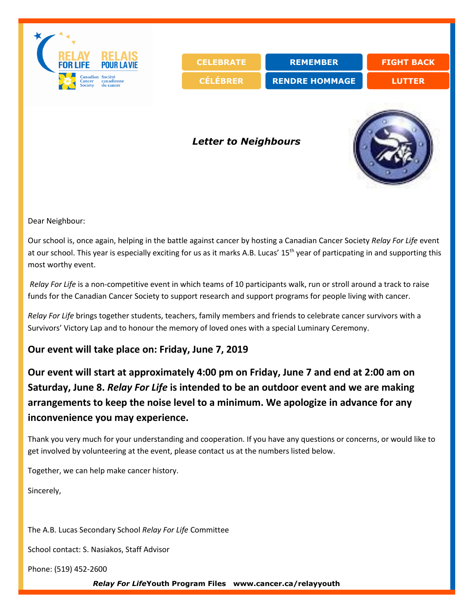

Dear Neighbour:

Our school is, once again, helping in the battle against cancer by hosting a Canadian Cancer Society *Relay For Life* event at our school. This year is especially exciting for us as it marks A.B. Lucas' 15th year of particpating in and supporting this most worthy event.

*Relay For Life* is a non-competitive event in which teams of 10 participants walk, run or stroll around a track to raise funds for the Canadian Cancer Society to support research and support programs for people living with cancer.

*Relay For Life* brings together students, teachers, family members and friends to celebrate cancer survivors with a Survivors' Victory Lap and to honour the memory of loved ones with a special Luminary Ceremony.

## **Our event will take place on: Friday, June 7, 2019**

**Our event will start at approximately 4:00 pm on Friday, June 7 and end at 2:00 am on Saturday, June 8.** *Relay For Life* **is intended to be an outdoor event and we are making arrangements to keep the noise level to a minimum. We apologize in advance for any inconvenience you may experience.** 

Thank you very much for your understanding and cooperation. If you have any questions or concerns, or would like to get involved by volunteering at the event, please contact us at the numbers listed below.

Together, we can help make cancer history.

Sincerely,

The A.B. Lucas Secondary School *Relay For Life* Committee

School contact: S. Nasiakos, Staff Advisor

Phone: (519) 452-2600

*Relay For Life***Youth Program Files www.cancer.ca/relayyouth**